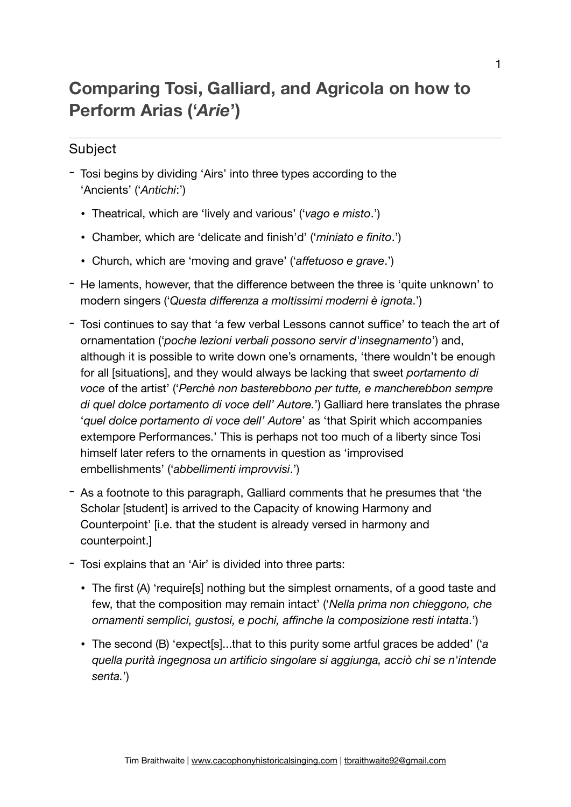## **Comparing Tosi, Galliard, and Agricola on how to Perform Arias ('***Arie***')**

## **Subject**

- Tosi begins by dividing 'Airs' into three types according to the 'Ancients' ('*Antichi*:')
	- Theatrical, which are 'lively and various' ('*vago e misto*.')
	- Chamber, which are 'delicate and finish'd' ('*miniato e finito*.')
	- Church, which are 'moving and grave' ('*affetuoso e grave*.')
- He laments, however, that the difference between the three is 'quite unknown' to modern singers ('*Questa differenza a moltissimi moderni è ignota*.')
- Tosi continues to say that 'a few verbal Lessons cannot suffice' to teach the art of ornamentation ('*poche lezioni verbali possono servir d'insegnamento*') and, although it is possible to write down one's ornaments, 'there wouldn't be enough for all [situations], and they would always be lacking that sweet *portamento di voce* of the artist' ('*Perchè non basterebbono per tutte, e mancherebbon sempre di quel dolce portamento di voce dell' Autore.*') Galliard here translates the phrase '*quel dolce portamento di voce dell' Autore*' as 'that Spirit which accompanies extempore Performances.' This is perhaps not too much of a liberty since Tosi himself later refers to the ornaments in question as 'improvised embellishments' ('*abbellimenti improvvisi*.')
- As a footnote to this paragraph, Galliard comments that he presumes that 'the Scholar [student] is arrived to the Capacity of knowing Harmony and Counterpoint' [i.e. that the student is already versed in harmony and counterpoint.]
- Tosi explains that an 'Air' is divided into three parts:
	- The first (A) 'require[s] nothing but the simplest ornaments, of a good taste and few, that the composition may remain intact' ('*Nella prima non chieggono, che ornamenti semplici, gustosi, e pochi, affinche la composizione resti intatta*.')
	- The second (B) 'expect[s]...that to this purity some artful graces be added' ('*a quella purità ingegnosa un artificio singolare si aggiunga, acciò chi se n'intende senta.*')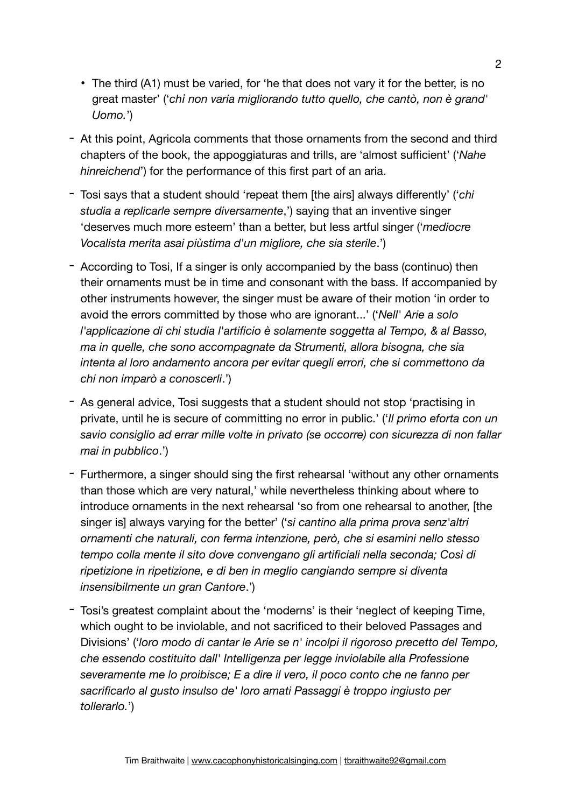- The third (A1) must be varied, for 'he that does not vary it for the better, is no great master' ('*chỉ non varia migliorando tutto quello, che cantò, non è grand' Uomo.*')
- At this point, Agricola comments that those ornaments from the second and third chapters of the book, the appoggiaturas and trills, are 'almost sufficient' ('*Nahe hinreichend*') for the performance of this first part of an aria.
- Tosi says that a student should 'repeat them [the airs] always differently' ('*chi studia a replicarle sempre diversamente*,') saying that an inventive singer 'deserves much more esteem' than a better, but less artful singer ('*mediocre Vocalista merita asai piùstima d'un migliore, che sia sterile*.')
- According to Tosi, If a singer is only accompanied by the bass (continuo) then their ornaments must be in time and consonant with the bass. If accompanied by other instruments however, the singer must be aware of their motion 'in order to avoid the errors committed by those who are ignorant...' ('*Nell' Arie a solo l'applicazione di chi studia l'artificio è solamente soggetta al Tempo, & al Basso, ma in quelle, che sono accompagnate da Strumenti, allora bisogna, che sia intenta al loro andamento ancora per evitar quegli errori, che si commettono da chi non imparò a conoscerli*.')
- As general advice, Tosi suggests that a student should not stop 'practising in private, until he is secure of committing no error in public.' ('*Il primo eforta con un savio consiglio ad errar mille volte in privato (se occorre) con sicurezza di non fallar mai in pubblico*.')
- Furthermore, a singer should sing the first rehearsal 'without any other ornaments than those which are very natural,' while nevertheless thinking about where to introduce ornaments in the next rehearsal 'so from one rehearsal to another, [the singer is] always varying for the better' ('*si cantino alla prima prova senz'altri ornamenti che naturali, con ferma intenzione, però, che si esamini nello stesso tempo colla mente il sito dove convengano gli artificiali nella seconda; Così di ripetizione in ripetizione, e di ben in meglio cangiando sempre si diventa insensibilmente un gran Cantore*.')
- Tosi's greatest complaint about the 'moderns' is their 'neglect of keeping Time, which ought to be inviolable, and not sacrificed to their beloved Passages and Divisions' ('*loro modo di cantar le Arie se n' incolpi il rigoroso precetto del Tempo, che essendo costituito dall' Intelligenza per legge inviolabile alla Professione severamente me lo proibisce; E a dire il vero, il poco conto che ne fanno per sacrificarlo al gusto insulso de' loro amati Passaggi è troppo ingiusto per tollerarlo.*')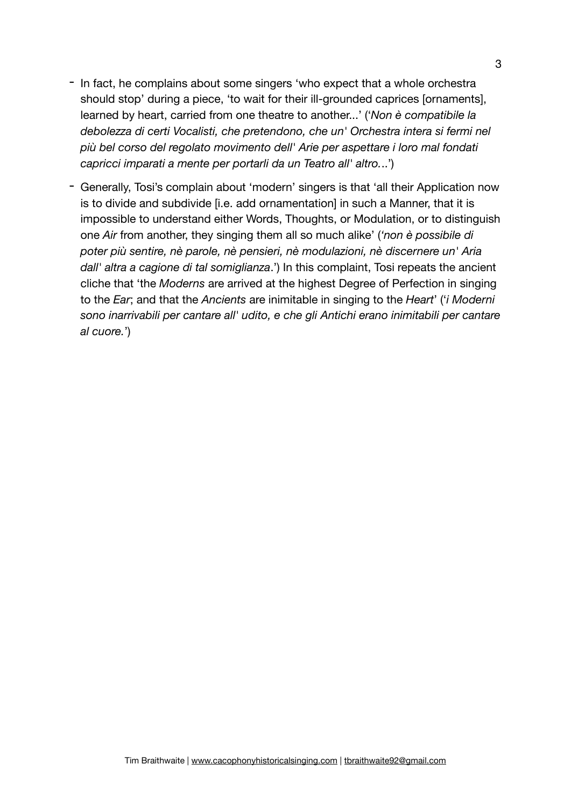- In fact, he complains about some singers 'who expect that a whole orchestra should stop' during a piece, 'to wait for their ill-grounded caprices [ornaments], learned by heart, carried from one theatre to another...' ('*Non è compatibile la debolezza di certi Vocalisti, che pretendono, che un' Orchestra intera si fermi nel più bel corso del regolato movimento dell' Arie per aspettare i loro mal fondati capricci imparati a mente per portarli da un Teatro all' altro.*..')
- Generally, Tosi's complain about 'modern' singers is that 'all their Application now is to divide and subdivide [i.e. add ornamentation] in such a Manner, that it is impossible to understand either Words, Thoughts, or Modulation, or to distinguish one *Air* from another, they singing them all so much alike' (*'non è possibile di poter più sentire, nè parole, nè pensieri, nè modulazioni, nè discernere un' Aria dall' altra a cagione di tal somiglianza*.') In this complaint, Tosi repeats the ancient cliche that 'the *Moderns* are arrived at the highest Degree of Perfection in singing to the *Ear*; and that the *Ancients* are inimitable in singing to the *Heart*' ('*i Moderni sono inarrivabili per cantare all' udito, e che gli Antichi erano inimitabili per cantare al cuore.*')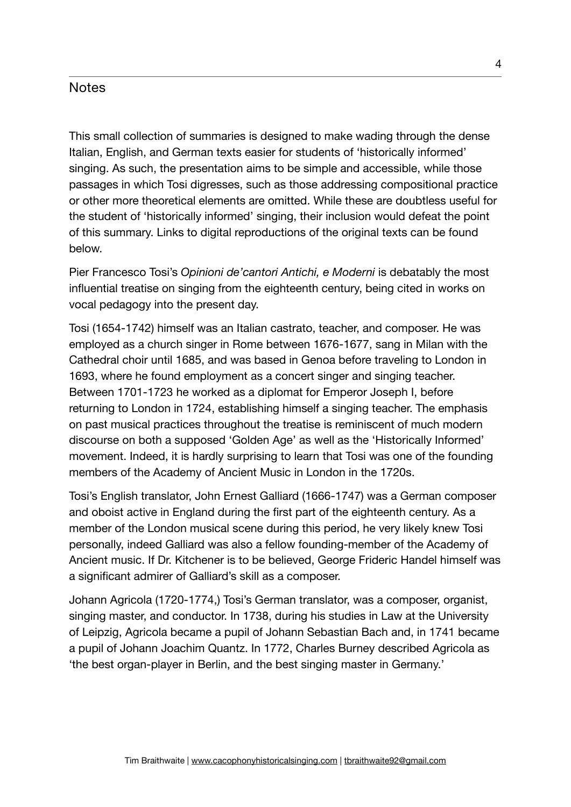## **Notes**

This small collection of summaries is designed to make wading through the dense Italian, English, and German texts easier for students of 'historically informed' singing. As such, the presentation aims to be simple and accessible, while those passages in which Tosi digresses, such as those addressing compositional practice or other more theoretical elements are omitted. While these are doubtless useful for the student of 'historically informed' singing, their inclusion would defeat the point of this summary. Links to digital reproductions of the original texts can be found below.

Pier Francesco Tosi's *Opinioni de'cantori Antichi, e Moderni* is debatably the most influential treatise on singing from the eighteenth century, being cited in works on vocal pedagogy into the present day.

Tosi (1654-1742) himself was an Italian castrato, teacher, and composer. He was employed as a church singer in Rome between 1676-1677, sang in Milan with the Cathedral choir until 1685, and was based in Genoa before traveling to London in 1693, where he found employment as a concert singer and singing teacher. Between 1701-1723 he worked as a diplomat for Emperor Joseph I, before returning to London in 1724, establishing himself a singing teacher. The emphasis on past musical practices throughout the treatise is reminiscent of much modern discourse on both a supposed 'Golden Age' as well as the 'Historically Informed' movement. Indeed, it is hardly surprising to learn that Tosi was one of the founding members of the Academy of Ancient Music in London in the 1720s.

Tosi's English translator, John Ernest Galliard (1666-1747) was a German composer and oboist active in England during the first part of the eighteenth century. As a member of the London musical scene during this period, he very likely knew Tosi personally, indeed Galliard was also a fellow founding-member of the Academy of Ancient music. If Dr. Kitchener is to be believed, George Frideric Handel himself was a significant admirer of Galliard's skill as a composer.

Johann Agricola (1720-1774,) Tosi's German translator, was a composer, organist, singing master, and conductor. In 1738, during his studies in Law at the University of Leipzig, Agricola became a pupil of Johann Sebastian Bach and, in 1741 became a pupil of Johann Joachim Quantz. In 1772, Charles Burney described Agricola as 'the best organ-player in Berlin, and the best singing master in Germany.'